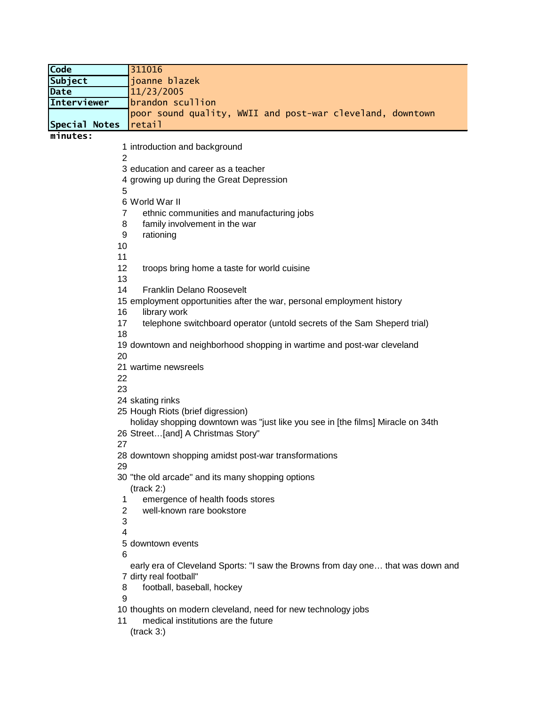| Code                 | 311016                                                                                 |
|----------------------|----------------------------------------------------------------------------------------|
| <b>Subject</b>       | joanne blazek                                                                          |
| Date                 | 11/23/2005                                                                             |
| Interviewer          | brandon scullion                                                                       |
|                      | poor sound quality, WWII and post-war cleveland, downtown                              |
| <b>Special Notes</b> | retail                                                                                 |
| minutes:             |                                                                                        |
|                      | 1 introduction and background                                                          |
| 2                    |                                                                                        |
|                      | 3 education and career as a teacher<br>4 growing up during the Great Depression        |
| 5                    |                                                                                        |
|                      | 6 World War II                                                                         |
| 7                    | ethnic communities and manufacturing jobs                                              |
| 8                    | family involvement in the war                                                          |
| 9                    | rationing                                                                              |
| 10                   |                                                                                        |
| 11                   |                                                                                        |
| 12                   | troops bring home a taste for world cuisine                                            |
| 13                   |                                                                                        |
| 14                   | <b>Franklin Delano Roosevelt</b>                                                       |
| 16                   | 15 employment opportunities after the war, personal employment history<br>library work |
| 17                   | telephone switchboard operator (untold secrets of the Sam Sheperd trial)               |
| 18                   |                                                                                        |
|                      | 19 downtown and neighborhood shopping in wartime and post-war cleveland                |
| 20                   |                                                                                        |
|                      | 21 wartime newsreels                                                                   |
| 22                   |                                                                                        |
| 23                   |                                                                                        |
|                      | 24 skating rinks                                                                       |
|                      | 25 Hough Riots (brief digression)                                                      |
|                      | holiday shopping downtown was "just like you see in [the films] Miracle on 34th        |
| 27                   | 26 Street[and] A Christmas Story"                                                      |
|                      | 28 downtown shopping amidst post-war transformations                                   |
| 29                   |                                                                                        |
|                      | 30 "the old arcade" and its many shopping options                                      |
|                      | (track 2.)                                                                             |
| 1                    | emergence of health foods stores                                                       |
| 2                    | well-known rare bookstore                                                              |
| 3                    |                                                                                        |
| 4                    |                                                                                        |
|                      | 5 downtown events                                                                      |
| 6                    | early era of Cleveland Sports: "I saw the Browns from day one that was down and        |
|                      | 7 dirty real football"                                                                 |
| 8                    | football, baseball, hockey                                                             |
| 9                    |                                                                                        |
|                      | 10 thoughts on modern cleveland, need for new technology jobs                          |
| 11                   | medical institutions are the future                                                    |
|                      | (track 3.)                                                                             |
|                      |                                                                                        |